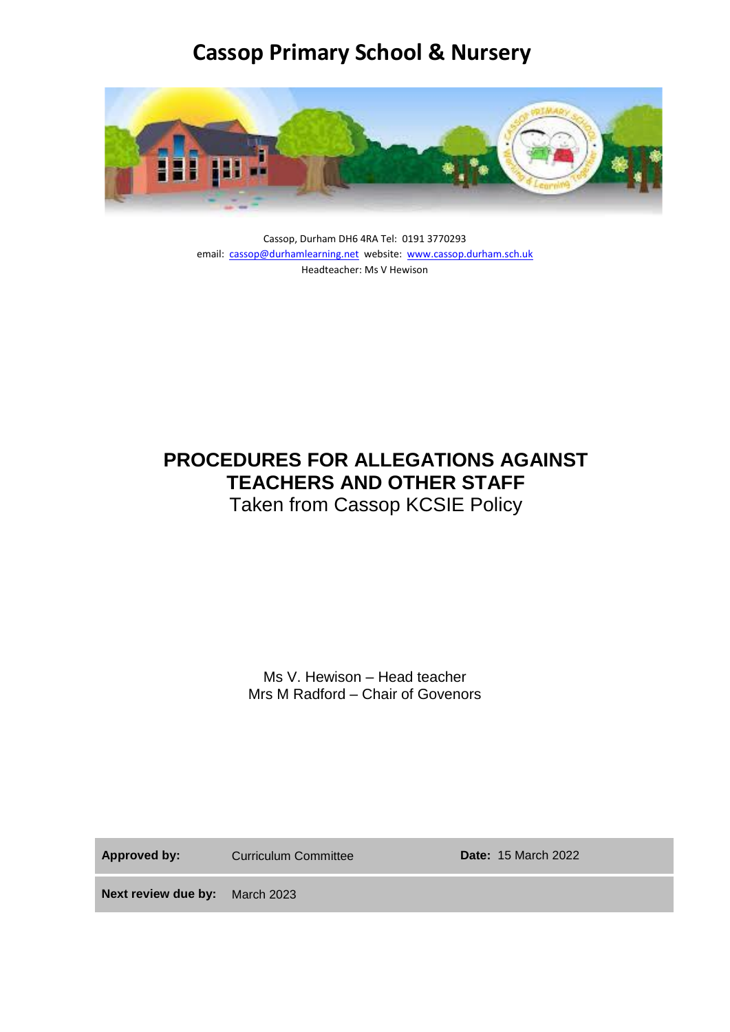## **Cassop Primary School & Nursery**



Cassop, Durham DH6 4RA Tel: 0191 3770293 email: [cassop@durhamlearning.net](mailto:cassop@durhamlearning.net) website: [www.cassop.durham.sch.uk](http://www.cassop.durham.sch.uk/) Headteacher: Ms V Hewison

# **PROCEDURES FOR ALLEGATIONS AGAINST TEACHERS AND OTHER STAFF**

Taken from Cassop KCSIE Policy

Ms V. Hewison – Head teacher Mrs M Radford – Chair of Govenors

Approved by: Curriculum Committee **Date:** 15 March 2022

**Next review due by:** March 2023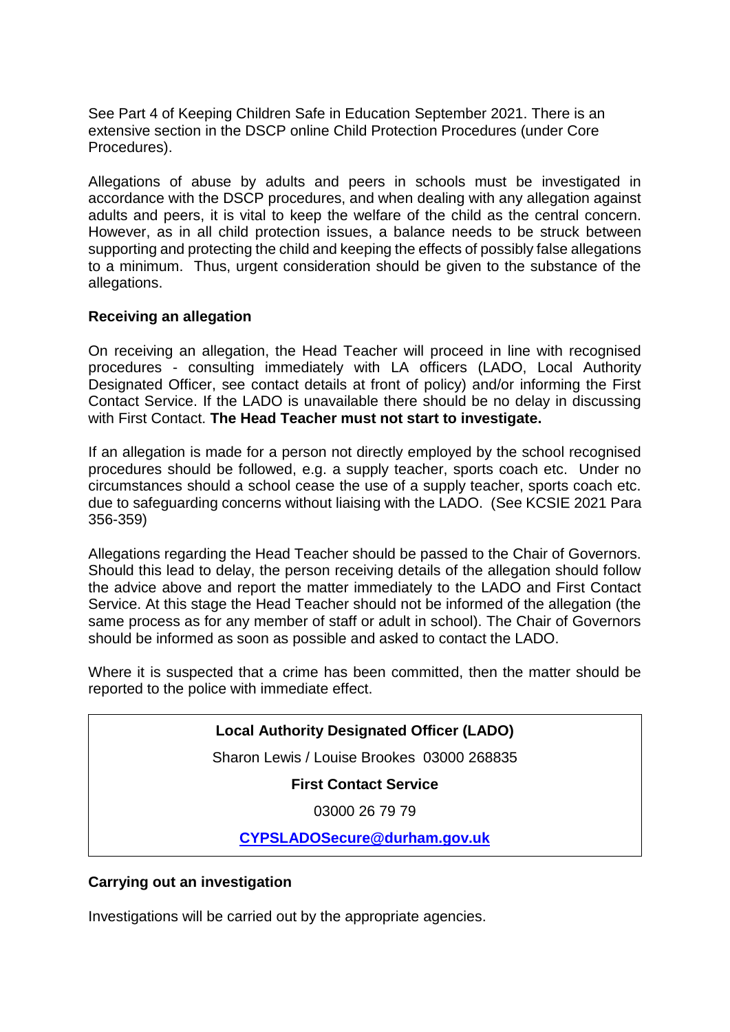See Part 4 of Keeping Children Safe in Education September 2021. There is an extensive section in the DSCP online Child Protection Procedures (under Core Procedures).

Allegations of abuse by adults and peers in schools must be investigated in accordance with the DSCP procedures, and when dealing with any allegation against adults and peers, it is vital to keep the welfare of the child as the central concern. However, as in all child protection issues, a balance needs to be struck between supporting and protecting the child and keeping the effects of possibly false allegations to a minimum. Thus, urgent consideration should be given to the substance of the allegations.

### **Receiving an allegation**

On receiving an allegation, the Head Teacher will proceed in line with recognised procedures - consulting immediately with LA officers (LADO, Local Authority Designated Officer, see contact details at front of policy) and/or informing the First Contact Service. If the LADO is unavailable there should be no delay in discussing with First Contact. **The Head Teacher must not start to investigate.**

If an allegation is made for a person not directly employed by the school recognised procedures should be followed, e.g. a supply teacher, sports coach etc. Under no circumstances should a school cease the use of a supply teacher, sports coach etc. due to safeguarding concerns without liaising with the LADO. (See KCSIE 2021 Para 356-359)

Allegations regarding the Head Teacher should be passed to the Chair of Governors. Should this lead to delay, the person receiving details of the allegation should follow the advice above and report the matter immediately to the LADO and First Contact Service. At this stage the Head Teacher should not be informed of the allegation (the same process as for any member of staff or adult in school). The Chair of Governors should be informed as soon as possible and asked to contact the LADO.

Where it is suspected that a crime has been committed, then the matter should be reported to the police with immediate effect.

### **Local Authority Designated Officer (LADO)**

Sharon Lewis / Louise Brookes 03000 268835

**First Contact Service**

03000 26 79 79

**[CYPSLADOSecure@durham.gov.uk](mailto:CYPSLADOSecure@durham.gov.uk)**

### **Carrying out an investigation**

Investigations will be carried out by the appropriate agencies.